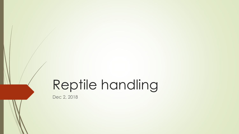# Reptile handling

Dec 2, 2018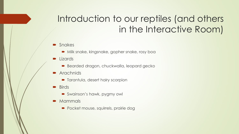# Introduction to our reptiles (and others in the Interactive Room)

- Snakes
	- Milk snake, kingsnake, gopher snake, rosy boa
- **Lizards** 
	- Bearded dragon, chuckwalla, leopard gecko
- Arachnids
	- **•** Tarantula, desert hairy scorpion
- $\blacksquare$  Birds
	- Swainson's hawk, pygmy owl
- **Mammals** 
	- Pocket mouse, squirrels, prairie dog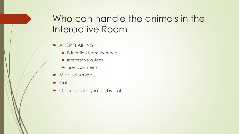# Who can handle the animals in the Interactive Room

- **AFTER TRAINING** 
	- Education team members
	- Interpretive guides
	- **•** Teen volunteers
- Medical services
- **Staff**
- Others as designated by staff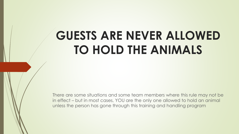# **GUESTS ARE NEVER ALLOWED TO HOLD THE ANIMALS**

There are some situations and some team members where this rule may not be in effect – but in most cases, YOU are the only one allowed to hold an animal unless the person has gone through this training and handling program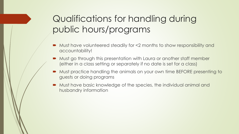# Qualifications for handling during public hours/programs

- Must have volunteered steadily for <2 months to show responsibility and accountability!
- Must go through this presentation with Laura or another staff member (either in a class setting or separately if no date is set for a class)
- Must practice handling the animals on your own time BEFORE presenting to guests or doing programs
- Must have basic knowledge of the species, the individual animal and husbandry information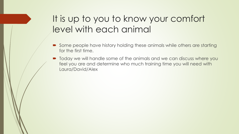# It is up to you to know your comfort level with each animal

- Some people have history holding these animals while others are starting for the first time.
- $\blacksquare$  Today we will handle some of the animals and we can discuss where you feel you are and determine who much training time you will need with Laura/David/Alex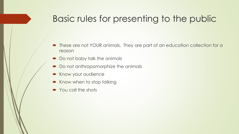## Basic rules for presenting to the public

- These are not YOUR animals. They are part of an education collection for a reason
- Do not baby talk the animals
- Do not anthropomorphize the animals
- Know your audience
- Know when to stop talking
- You call the shots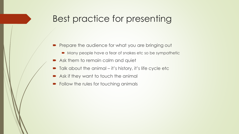#### Best practice for presenting

- Prepare the audience for what you are bringing out
	- Many people have a fear of snakes etc so be sympathetic
- Ask them to remain calm and quiet
- Talk about the animal it's history, it's life cycle etc
- Ask if they want to touch the animal
- Follow the rules for touching animals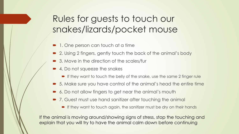# Rules for guests to touch our snakes/lizards/pocket mouse

- 1. One person can touch at a time
- 2. Using 2 fingers, gently touch the back of the animal's body
- 3. Move in the direction of the scales/fur
- 4. Do not squeeze the snakes
	- $\blacksquare$  If they want to touch the belly of the snake, use the same 2 finger rule
- 5. Make sure you have control of the animal's head the entire time
- 6. Do not allow fingers to get near the animal's mouth
- 7. Guest must use hand sanitizer after touching the animal
	- **If they want to touch again, the sanitizer must be dry on their hands**

If the animal is moving around/showing signs of stress, stop the touching and explain that you will try to have the animal calm down before continuing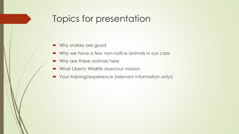## Topics for presentation

- Why snakes are good
- Why we have a few non-native animals in our care
- Why are these animals here
- What Liberty Wildlife does/our mission
- Your training/experience (relevant information only!)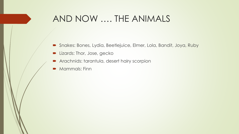#### AND NOW …. THE ANIMALS

- Snakes: Bones, Lydia, Beetlejuice, Elmer, Lola, Bandit, Joya, Ruby
- **Lizards: Thor, Jose, gecko**
- **Arachnids: tarantula, desert hairy scorpion**
- **Mammals: Finn**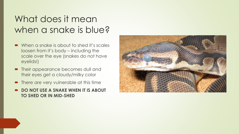## What does it mean when a snake is blue?

- When a snake is about to shed it's scales loosen from it's body – including the scale over the eye (snakes do not have eyelids!)
- Their appearance becomes dull and their eyes get a cloudy/milky color
- There are very vulnerable at this time
- **DO NOT USE A SNAKE WHEN IT IS ABOUT TO SHED OR IN MID-SHED**

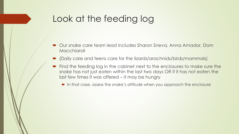## Look at the feeding log

- Our snake care team lead includes Sharon Sneva, Anna Amador, Dom **Macchiaroli**
- (Daily care and teens care for the lizards/arachnids/birds/mammals)
- Find the feeding log in the cabinet next to the enclosures to make sure the snake has not just eaten within the last two days OR if it has not eaten the last few times it was offered – it may be hungry
	- In that case, assess the snake's attitude when you approach the enclosure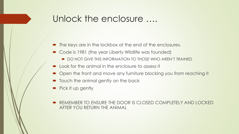#### Unlock the enclosure ….

- The keys are in the lockbox at the end of the enclosures.
- Code is 1981 (the year Liberty Wildlife was founded)
	- $\bullet$  DO NOT GIVE THIS INFORMATION TO THOSE WHO AREN'T TRAINED
- **Look for the animal in the enclosure to assess it**
- Open the front and move any furniture blocking you from reaching it
- Touch the animal gently on the back
- Pick it up gently
- REMEMBER TO ENSURE THE DOOR IS CLOSED COMPLETELY AND LOCKED AFTER YOU RETURN THE ANIMAL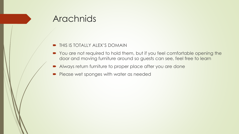#### Arachnids

- **THIS IS TOTALLY ALEX'S DOMAIN**
- You are not required to hold them, but if you feel comfortable opening the door and moving furniture around so guests can see, feel free to learn
- Always return furniture to proper place after you are done
- Please wet sponges with water as needed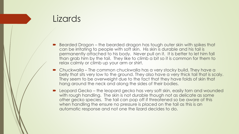#### Lizards

- Bearded Dragon the bearded dragon has tough outer skin with spikes that can be irritating to people with soft skin. His skin is durable and his tail is permanently attached to his body. Never pull on it. It is better to let him fall than grab him by the tail. They like to climb a bit so it is common for them to relax calmly or climb up your arm or shirt.
- Chuckwalla The common chuckwalla has a very stocky build. They have a belly that sits very low to the ground. They also have a very thick tail that is scaly. They seem to be overweight due to the fact that they have folds of skin that hang around the neck and along the sides of their bodies.
- Leopard Gecko the leopard gecko has very soft skin, easily torn and wounded with rough handling. The skin is not durable though not as delicate as some other gecko species. The tail can pop off if threatened so be aware of this when handling the ensure no pressure is placed on the tail as this is an automatic response and not one the lizard decides to do.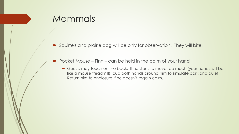#### **Mammals**

- Squirrels and prairie dog will be only for observation! They will bite!
- Pocket Mouse Finn can be held in the palm of your hand
	- Guests may touch on the back. If he starts to move too much (your hands will be like a mouse treadmill), cup both hands around him to simulate dark and quiet. Return him to enclosure if he doesn't regain calm.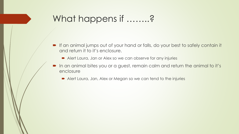### What happens if ……..?

- If an animal jumps out of your hand or falls, do your best to safely contain it and return it to it's enclosure.
	- Alert Laura, Jan or Alex so we can observe for any injuries
- In an animal bites you or a guest, remain calm and return the animal to it's enclosure
	- Alert Laura, Jan, Alex or Megan so we can tend to the injuries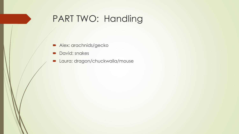## PART TWO: Handling

- Alex: arachnids/gecko
- David: snakes
- **D** Laura: dragon/chuckwalla/mouse